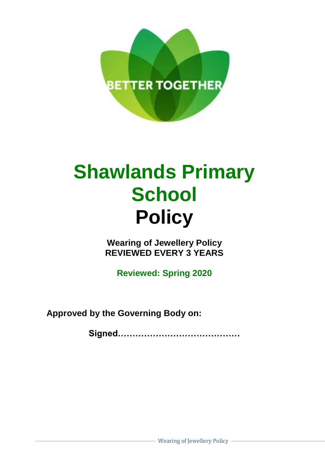

## **Shawlands Primary School Policy**

**Wearing of Jewellery Policy REVIEWED EVERY 3 YEARS**

**Reviewed: Spring 2020**

**Approved by the Governing Body on:**

**Signed……………………………………**